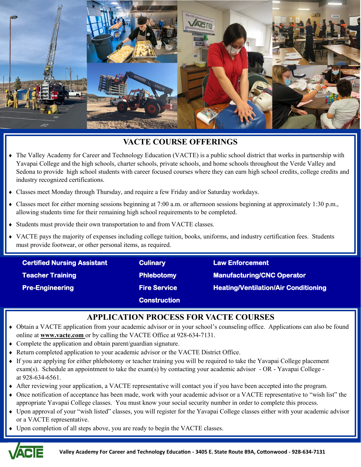

# **VACTE COURSE OFFERINGS**

- The Valley Academy for Career and Technology Education (VACTE) is a public school district that works in partnership with Yavapai College and the high schools, charter schools, private schools, and home schools throughout the Verde Valley and Sedona to provide high school students with career focused courses where they can earn high school credits, college credits and industry recognized certifications.
- Classes meet Monday through Thursday, and require a few Friday and/or Saturday workdays.
- Classes meet for either morning sessions beginning at 7:00 a.m. or afternoon sessions beginning at approximately 1:30 p.m., allowing students time for their remaining high school requirements to be completed.
- Students must provide their own transportation to and from VACTE classes.
- VACTE pays the majority of expenses including college tuition, books, uniforms, and industry certification fees. Students must provide footwear, or other personal items, as required.

| <b>Certified Nursing Assistant</b> | <b>Culinary</b>     | <b>Law Enforcement</b>                      |
|------------------------------------|---------------------|---------------------------------------------|
| <b>Teacher Training</b>            | <b>Phlebotomy</b>   | <b>Manufacturing/CNC Operator</b>           |
| <b>Pre-Engineering</b>             | <b>Fire Service</b> | <b>Heating/Ventilation/Air Conditioning</b> |
|                                    | <b>Construction</b> |                                             |

# **APPLICATION PROCESS FOR VACTE COURSES**

- Obtain a VACTE application from your academic advisor or in your school's counseling office. Applications can also be found online at **www.vacte.com** or by calling the VACTE Office at 928-634-7131.
- Complete the application and obtain parent/guardian signature.
- Return completed application to your academic advisor or the VACTE District Office.
- If you are applying for either phlebotomy or teacher training you will be required to take the Yavapai College placement exam(s). Schedule an appointment to take the exam(s) by contacting your academic advisor - OR - Yavapai College at 928-634-6561.
- After reviewing your application, a VACTE representative will contact you if you have been accepted into the program.
- Once notification of acceptance has been made, work with your academic advisor or a VACTE representative to "wish list" the appropriate Yavapai College classes. You must know your social security number in order to complete this process.
- Upon approval of your "wish listed" classes, you will register for the Yavapai College classes either with your academic advisor or a VACTE representative.
- Upon completion of all steps above, you are ready to begin the VACTE classes.